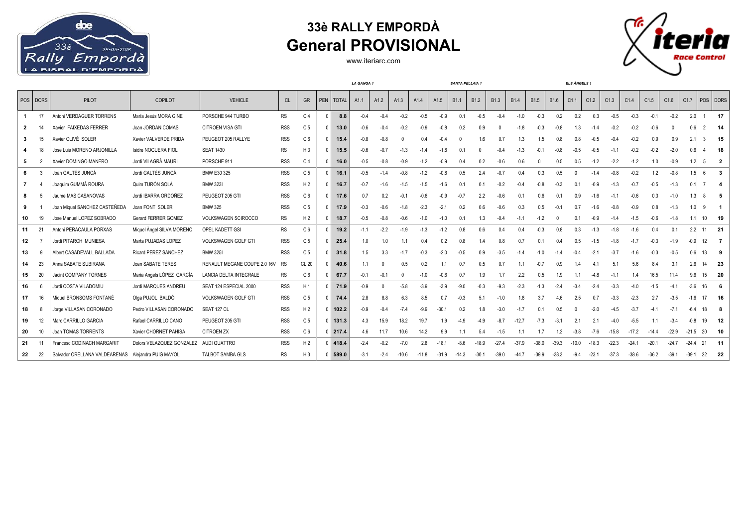

## **33è RALLY EMPORDÀ General PROVISIONAL**

www.iteriarc.com



|                |          |                                                    |                                        |                              |            |                | LA GANGA 1   |             |        |        | SANTA PELLAIA 1 |                  |         |                  |                  |                  | <b>ELS ÀNGELS 1</b> |                |                  |          |         |         |         |         |          |         |                |                |
|----------------|----------|----------------------------------------------------|----------------------------------------|------------------------------|------------|----------------|--------------|-------------|--------|--------|-----------------|------------------|---------|------------------|------------------|------------------|---------------------|----------------|------------------|----------|---------|---------|---------|---------|----------|---------|----------------|----------------|
|                | POS DORS | PILOT                                              | COPILOT                                | <b>VEHICLE</b>               | <b>CL</b>  | GR             |              | PEN   TOTAL | A1.1   | A1.2   | A1.3            | A <sub>1.4</sub> | A1.5    | B <sub>1.1</sub> | B <sub>1.2</sub> | B <sub>1.3</sub> | <b>B1.4</b>         | <b>B1.5</b>    | B <sub>1.6</sub> | C1.1     | C1.2    | C1.3    | C1.4    | C1.5    | C1.6     | C1.7    | POS DORS       |                |
| -1             | 17       | Antoni VERDAGUER TORRENS                           | María Jesús MORA GINE                  | PORSCHE 944 TURBO            | <b>RS</b>  | C <sub>4</sub> | $\Omega$     | 8.8         | $-0.4$ | $-0.4$ | $-0.2$          | $-0.5$           | $-0.9$  | 0.1              | $-0.5$           | $-0.4$           | $-1.0$              | $-0.3$         | 0.2              | 0.2      | 0.3     | $-0.5$  | $-0.3$  | $-0.1$  | $-0.2$   | 2.0     |                | -17            |
| $\overline{2}$ | 14       | Xavier FAIXEDAS FERRER                             | Joan JORDAN COMAS                      | <b>CITROEN VISA GTI</b>      | <b>RSS</b> | C <sub>5</sub> | $\Omega$     | 13.0        | $-0.6$ | $-0.4$ | $-0.2$          | -0.9             | $-0.8$  | 0.2              | 0.9              | $\Omega$         | $-1.8$              | $-0.3$         | $-0.8$           | 1.3      | $-1.4$  | $-0.2$  | $-0.2$  | $-0.6$  | $\Omega$ | 0.6     | $\overline{2}$ | - 14           |
| 3              | 15       | Xavier OLIVÉ SOLER                                 | Xavier VALVERDE PRIDA                  | PEUGEOT 205 RALLYE           | <b>RSS</b> | C <sub>6</sub> |              | 15.4        | $-0.8$ | $-0.8$ |                 | 0.4              | $-0.4$  |                  | 1.6              | 0.7              | 1.3                 | 1.5            | 0.8              | 0.8      | $-0.5$  | $-0.4$  | $-0.2$  | 0.9     | 0.9      | 2.1     | 3              | - 15           |
|                |          | Jose Luis MORENO ARJONILLA                         | Isidre NOGUERA FIOL                    | <b>SEAT 1430</b>             | <b>RS</b>  | $H_3$          | $\mathsf{r}$ | 15.5        | $-0.6$ | $-0.7$ | $-1.3$          | -1.4             | $-1.8$  | 0.1              |                  | $-0.4$           | $-1.3$              | $-0.1$         | $-0.8$           | $-0.5$   | $-0.5$  | $-1.1$  | $-0.2$  | $-0.2$  | $-2.0$   | 0.6     |                | 18             |
| -5             |          | Xavier DOMINGO MANERO                              | Jordi VILAGRÀ MAURI                    | PORSCHE 911                  | <b>RSS</b> | C <sub>4</sub> |              | 16.0        | $-0.5$ | $-0.8$ | $-0.9$          | -1.2             | $-0.9$  | 0.4              | 0.2              | $-0.6$           | 0.6                 |                | 0.5              | 0.5      | $-1.2$  | $-2.2$  | $-1.2$  | 1.0     | $-0.9$   | 1.2     | 5              | $\overline{2}$ |
| 6              |          | Joan GALTÉS JUNCÀ                                  | Jordi GALTÉS JUNCÀ                     | BMW E30 325                  | <b>RSS</b> | C <sub>5</sub> | <sup>n</sup> | 16.1        | $-0.5$ | $-1.4$ | $-0.8$          | $-1.2$           | $-0.8$  | 0.5              | 2.4              | $-0.7$           | 0.4                 | 0.3            | 0.5              | $\Omega$ | $-1.4$  | $-0.8$  | $-0.2$  | 1.2     | $-0.8$   | 1.5     | -6             | -3             |
| $\overline{7}$ |          | Joaquim GUMMÀ ROURA                                | Quim TURÓN SOLÀ                        | <b>BMW 323I</b>              | <b>RSS</b> | H <sub>2</sub> |              | 16.7        | $-0.7$ | $-1.6$ | $-1.5$          | $-1.5$           | $-1.6$  | 0.1              | 0 <sub>1</sub>   | $-0.2$           | $-0.4$              | $-0.8$         | $-0.3$           | 0.1      | $-0.9$  | $-1.3$  | $-0.7$  | $-0.5$  | $-1.3$   | 0.1     |                |                |
| 8              |          | Jaume MAS CASANOVAS                                | Jordi IBARRA ORDOÑEZ                   | PEUGEOT 205 GTI              | <b>RSS</b> | C <sub>6</sub> | <sup>n</sup> | 17.6        | 0.7    | 0.2    | $-0.1$          | $-0.6$           | $-0.9$  | $-0.7$           | 2.2              | $-0.6$           | 0.1                 | 0.6            | 0.1              | 0.9      | $-1.6$  | $-1.1$  | $-0.6$  | 0.3     | $-1.0$   | 1.3     | 8              |                |
| 9              |          | Joan Miquel SANCHEZ CASTEÑEDA                      | Joan FONT SOLER                        | <b>BMW 325</b>               | <b>RSS</b> | C <sub>5</sub> |              | 17.9        | $-0.3$ | $-0.6$ | $-1.8$          | $-2.3$           | $-2.1$  | 0.2              | 0.6              | $-0.6$           | 0.3                 | 0.5            | $-0.1$           | 0.7      | $-1.6$  | $-0.8$  | $-0.9$  | 0.8     | $-1.3$   | 1.0     | 9              |                |
| 10             | 19       | Jose Manuel LOPEZ SOBRADO                          | Gerard FERRER GOMEZ                    | VOLKSWAGEN SCIROCCO          | <b>RS</b>  | H <sub>2</sub> | $\Omega$     | 18.7        | $-0.5$ | $-0.8$ | $-0.6$          | $-1.0$           | $-1.0$  | 0.1              | 1.3              | $-0.4$           | $-1.1$              | $-1.2$         |                  | 0.1      | $-0.9$  | $-1.4$  | $-1.5$  | $-0.6$  | $-1.8$   | 1.1     | 10             | 19             |
| 11             | 21       | Antoni PERACAULA PORXAS                            | Miquel Angel SILVA MORENO              | OPEL KADETT GSI              | <b>RS</b>  | C <sub>6</sub> |              | 19.2        | $-1.1$ | $-2.2$ | $-1.9$          | $-1.3$           | $-1.2$  | 0.8              | 0.6              | 0.4              | 0.4                 | $-0.3$         | 0.8              | 0.3      | $-1.3$  | $-1.8$  | $-1.6$  | 0.4     | 0.1      | 2.2     | 11             | - 21           |
| 12             |          | Jordi PITARCH MUNIESA                              | Marta PUJADAS LOPEZ                    | VOLKSWAGEN GOLF GTI          | <b>RSS</b> | C <sub>5</sub> |              | 25.4        | 1.0    | 1.0    | 1.1             | 04               | 0.2     | 08               |                  | 0.8              |                     | 0.1            | 04               | 0.5      | $-1.5$  | $-1.8$  | $-1.7$  | $-0.3$  | $-1.9$   | $-0.9$  | 12             | $\overline{7}$ |
| 13             |          | Albert CASADEVALL BALLADA                          | Ricard PEREZ SANCHEZ                   | <b>BMW 325I</b>              | <b>RSS</b> | C <sub>5</sub> |              | 31.8        | 1.5    | 3.3    | $-1.7$          | $-0.3$           | $-2.0$  | $-0.5$           | 0.9              | $-3.5$           | $-1.4$              | $-1.0$         | $-1.4$           | $-0.4$   | $-2.1$  | $-3.7$  | $-1.6$  | $-0.3$  | $-0.5$   | 0.6     | 13             | 9              |
| 14             | 23       | Anna SABATE SUBIRANA                               | Joan SABATE TERES                      | RENAULT MEGANE COUPE 2.0 16V | RS         | CL 20          |              | 40.6        | 1.1    |        | 0.5             | 0.2              |         | 0.7              | 0.5              | 0.7              |                     | $-0.7$         | 0.9              |          |         | 5.1     | 5.6     | 8.4     | 3.1      | 2.6     | 14             | - 23           |
| 15             | 20       | Jacint COMPANY TORNES                              | Maria Angels LÓPEZ GARCÍA              | LANCIA DELTA INTEGRALE       | <b>RS</b>  | C <sub>6</sub> |              | 67.7        | $-0.1$ | $-0.1$ | <sup>0</sup>    | $-1.0$           | $-0.6$  | 0.7              | 1.9              | 17               | 2.2                 | 0.5            | 1.9              | 1.1      | $-4.8$  | $-1.1$  | 1.4     | 16.5    | 11.4     | 9.6     | 15             | - 20           |
| 16             |          | Jordi COSTA VILADOMIU                              | Jordi MARQUES ANDREU                   | SEAT 124 ESPECIAL 2000       | <b>RSS</b> | H1             |              | 71.9        | $-0.9$ |        | $-5.8$          | $-3.9$           | $-3.9$  | -9.0             | $-0.3$           | $-9.3$           | $-2.3$              | $-1.3$         | $-2.4$           | $-3.4$   | $-2.4$  | $-3.3$  | $-4.0$  | $-1.5$  | $-4.1$   | $-3.6$  | 16             |                |
| 17             | 16       | Miquel BRONSOMS FONTANÉ                            | Olga PUJOL BALDÓ                       | <b>VOLKSWAGEN GOLF GTI</b>   | <b>RSS</b> | C <sub>5</sub> |              | 74.4        | 2.8    | 8.8    | 6.3             | 8.5              | 0.7     | $-0.3$           | 5.1              | $-1.0$           | 1.8                 | 3.7            | 4.6              | 2.5      | 0.7     | $-3.3$  | $-2.3$  | 2.7     | $-3.5$   | $-1.6$  | 17             | - 16           |
| 18             |          | Jorge VILLASAN CORONADO                            | Pedro VILLASAN CORONADO                | SEAT 127 CL                  | <b>RSS</b> | H <sub>2</sub> | 0            | 102.2       | $-0.9$ | $-0.4$ | $-7.4$          | -9.9             | -30 1   | 02               | 18               | $-3.0$           |                     | 0 <sup>1</sup> | 0.5              |          | $-2.0$  | $-4.5$  | $-3.7$  | -41     | $-7.1$   | $-6.4$  | 18             |                |
| 19             | 12       | Marc CARRILLO GARCIA                               | Rafael CARRILLO CANO                   | PEUGEOT 205 GTI              | <b>RSS</b> | C <sub>5</sub> |              | $0$   131.3 | 4.3    | 15.9   | 18.2            | 19.7             | 19      | -4.9             | $-49$            | $-8.7$           | $-12.7$             | $-7.3$         | $-3.1$           | 2.1      | 2.1     | $-4.0$  | $-5.5$  | 1.1     | $-3.4$   | $-0.8$  | 19             | -12            |
| 20             | 10       | Joan TOMAS TORRENTS                                | Xavier CHORNET PAHISA                  | <b>CITROEN ZX</b>            | <b>RSS</b> | C <sub>6</sub> |              | $0$   217.4 | 4.6    | 117    | 10.6            | 14.2             | 9.9     | 1.1              | 5.4              | $-1.5$           |                     | 1.7            | 1.2              | $-3.8$   | $-7.6$  | $-15.8$ | $-17.2$ | $-14.4$ | $-22.9$  | $-21.5$ | 20             | - 10           |
| 21             | 11       | Francesc CODINACH MARGARIT                         | Dolors VELAZQUEZ GONZALEZ AUDI QUATTRO |                              | <b>RSS</b> | H <sub>2</sub> |              | 418.4       | $-2.4$ | $-0.2$ | $-7.0$          | 2.8              | $-18.1$ | $-8.6$           | $-18.9$          | $-27.4$          | $-37.9$             | $-38.0$        | $-39.3$          | $-10.0$  | $-18.3$ | $-22.3$ | $-24.1$ | $-20.1$ | $-24.7$  | $-24.4$ | 21             | -11            |
| 22             | 22       | Salvador ORELLANA VALDEARENAS Alejandra PUIG MAYOL |                                        | <b>TALBOT SAMBA GLS</b>      | <b>RS</b>  | $H_3$          |              | 589.0       | $-3.1$ | $-2.4$ | $-10.6$         | -11.8            | $-31.9$ | -14.3            | $-30.1$          | $-39.0$          | -44 7               | $-39.9$        | $-38.3$          | $-9.4$   | $-23.1$ | $-37.3$ | $-38.6$ | $-36.2$ | $-39.1$  | $-39.1$ | 22             | 22             |